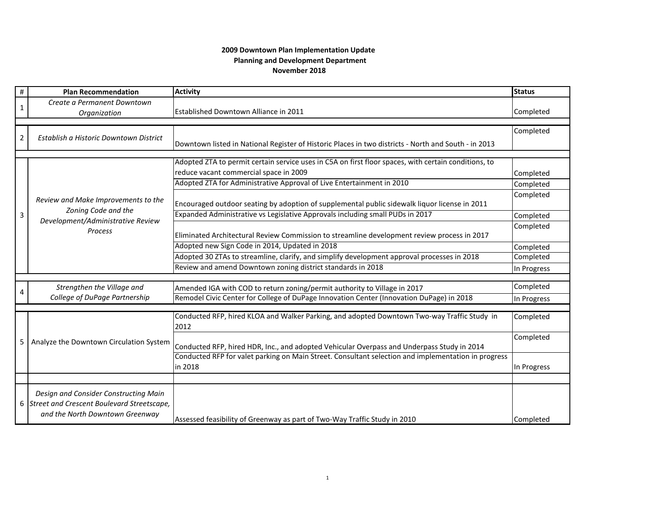## **November 2018 2009 Downtown Plan Implementation Update Planning and Development Department**

| $\#$           | <b>Plan Recommendation</b>                                                                                        | <b>Activity</b>                                                                                      | <b>Status</b> |  |
|----------------|-------------------------------------------------------------------------------------------------------------------|------------------------------------------------------------------------------------------------------|---------------|--|
| $\mathbf{1}$   | Create a Permanent Downtown                                                                                       |                                                                                                      |               |  |
|                | Organization                                                                                                      | Established Downtown Alliance in 2011                                                                | Completed     |  |
|                |                                                                                                                   |                                                                                                      |               |  |
| $\overline{2}$ | Establish a Historic Downtown District                                                                            |                                                                                                      | Completed     |  |
|                |                                                                                                                   | Downtown listed in National Register of Historic Places in two districts - North and South - in 2013 |               |  |
|                |                                                                                                                   |                                                                                                      |               |  |
|                | Review and Make Improvements to the<br>Zoning Code and the<br>Development/Administrative Review<br><b>Process</b> | Adopted ZTA to permit certain service uses in C5A on first floor spaces, with certain conditions, to |               |  |
|                |                                                                                                                   | reduce vacant commercial space in 2009                                                               | Completed     |  |
|                |                                                                                                                   | Adopted ZTA for Administrative Approval of Live Entertainment in 2010                                | Completed     |  |
|                |                                                                                                                   | Encouraged outdoor seating by adoption of supplemental public sidewalk liquor license in 2011        | Completed     |  |
| 3              |                                                                                                                   | Expanded Administrative vs Legislative Approvals including small PUDs in 2017                        | Completed     |  |
|                |                                                                                                                   |                                                                                                      | Completed     |  |
|                |                                                                                                                   | Eliminated Architectural Review Commission to streamline development review process in 2017          |               |  |
|                |                                                                                                                   | Adopted new Sign Code in 2014, Updated in 2018                                                       | Completed     |  |
|                |                                                                                                                   | Adopted 30 ZTAs to streamline, clarify, and simplify development approval processes in 2018          | Completed     |  |
|                |                                                                                                                   | Review and amend Downtown zoning district standards in 2018                                          | In Progress   |  |
|                |                                                                                                                   |                                                                                                      |               |  |
|                | Strengthen the Village and                                                                                        | Amended IGA with COD to return zoning/permit authority to Village in 2017                            | Completed     |  |
|                | College of DuPage Partnership                                                                                     | Remodel Civic Center for College of DuPage Innovation Center (Innovation DuPage) in 2018             | In Progress   |  |
|                |                                                                                                                   |                                                                                                      |               |  |
| 5              | Analyze the Downtown Circulation System                                                                           | Conducted RFP, hired KLOA and Walker Parking, and adopted Downtown Two-way Traffic Study in<br>2012  | Completed     |  |
|                |                                                                                                                   | Conducted RFP, hired HDR, Inc., and adopted Vehicular Overpass and Underpass Study in 2014           | Completed     |  |
|                |                                                                                                                   | Conducted RFP for valet parking on Main Street. Consultant selection and implementation in progress  |               |  |
|                |                                                                                                                   | in 2018                                                                                              | In Progress   |  |
|                |                                                                                                                   |                                                                                                      |               |  |
|                | Design and Consider Constructing Main                                                                             |                                                                                                      |               |  |
|                | 6 Street and Crescent Boulevard Streetscape,                                                                      |                                                                                                      |               |  |
|                | and the North Downtown Greenway                                                                                   |                                                                                                      |               |  |
|                |                                                                                                                   | Assessed feasibility of Greenway as part of Two-Way Traffic Study in 2010                            | Completed     |  |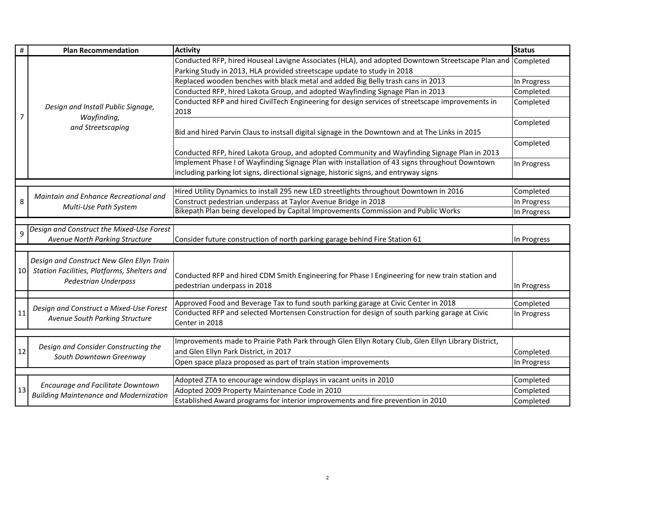| #  | <b>Plan Recommendation</b>                                                         | <b>Activity</b>                                                                                            | <b>Status</b> |
|----|------------------------------------------------------------------------------------|------------------------------------------------------------------------------------------------------------|---------------|
|    | Design and Install Public Signage,<br>Wayfinding,<br>and Streetscaping             | Conducted RFP, hired Houseal Lavigne Associates (HLA), and adopted Downtown Streetscape Plan and Completed |               |
|    |                                                                                    | Parking Study in 2013, HLA provided streetscape update to study in 2018                                    |               |
|    |                                                                                    | Replaced wooden benches with black metal and added Big Belly trash cans in 2013                            | In Progress   |
|    |                                                                                    | Conducted RFP, hired Lakota Group, and adopted Wayfinding Signage Plan in 2013                             | Completed     |
|    |                                                                                    | Conducted RFP and hired CivilTech Engineering for design services of streetscape improvements in           | Completed     |
| 7  |                                                                                    | 2018                                                                                                       |               |
|    |                                                                                    |                                                                                                            | Completed     |
|    |                                                                                    | Bid and hired Parvin Claus to instsall digital signage in the Downtown and at The Links in 2015            |               |
|    |                                                                                    |                                                                                                            | Completed     |
|    |                                                                                    | Conducted RFP, hired Lakota Group, and adopted Community and Wayfinding Signage Plan in 2013               |               |
|    |                                                                                    | Implement Phase I of Wayfinding Signage Plan with installation of 43 signs throughout Downtown             | In Progress   |
|    |                                                                                    | including parking lot signs, directional signage, historic signs, and entryway signs                       |               |
|    |                                                                                    |                                                                                                            |               |
|    | Maintain and Enhance Recreational and                                              | Hired Utility Dynamics to install 295 new LED streetlights throughout Downtown in 2016                     | Completed     |
| 8  | Multi-Use Path System                                                              | Construct pedestrian underpass at Taylor Avenue Bridge in 2018                                             | In Progress   |
|    |                                                                                    | Bikepath Plan being developed by Capital Improvements Commission and Public Works                          | In Progress   |
|    | Design and Construct the Mixed-Use Forest                                          |                                                                                                            |               |
| 9  | Avenue North Parking Structure                                                     | Consider future construction of north parking garage behind Fire Station 61                                | In Progress   |
|    |                                                                                    |                                                                                                            |               |
|    | Design and Construct New Glen Ellyn Train                                          |                                                                                                            |               |
| 10 | Station Facilities, Platforms, Shelters and<br><b>Pedestrian Underpass</b>         |                                                                                                            |               |
|    |                                                                                    | Conducted RFP and hired CDM Smith Engineering for Phase I Engineering for new train station and            |               |
|    |                                                                                    | pedestrian underpass in 2018                                                                               | In Progress   |
|    |                                                                                    | Approved Food and Beverage Tax to fund south parking garage at Civic Center in 2018                        | Completed     |
| 11 | Design and Construct a Mixed-Use Forest<br>Avenue South Parking Structure          | Conducted RFP and selected Mortensen Construction for design of south parking garage at Civic              | In Progress   |
|    |                                                                                    | Center in 2018                                                                                             |               |
|    |                                                                                    |                                                                                                            |               |
|    | Design and Consider Constructing the<br>South Downtown Greenway                    | Improvements made to Prairie Path Park through Glen Ellyn Rotary Club, Glen Ellyn Library District,        |               |
| 12 |                                                                                    | and Glen Ellyn Park District, in 2017                                                                      | Completed     |
|    |                                                                                    | Open space plaza proposed as part of train station improvements                                            | In Progress   |
|    |                                                                                    |                                                                                                            |               |
|    | Encourage and Facilitate Downtown<br><b>Building Maintenance and Modernization</b> | Adopted ZTA to encourage window displays in vacant units in 2010                                           | Completed     |
| 13 |                                                                                    | Adopted 2009 Property Maintenance Code in 2010                                                             | Completed     |
|    |                                                                                    | Established Award programs for interior improvements and fire prevention in 2010                           | Completed     |